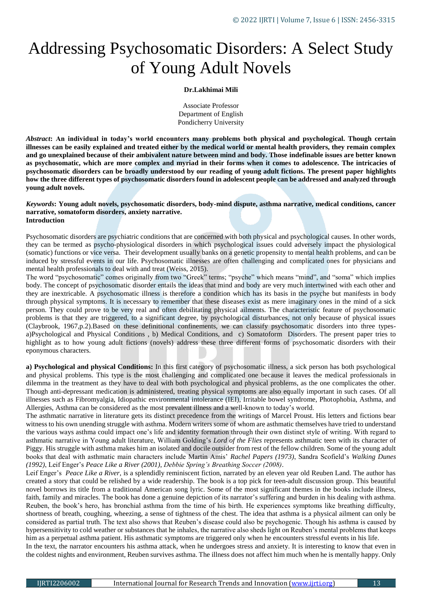# Addressing Psychosomatic Disorders: A Select Study of Young Adult Novels

## **Dr.Lakhimai Mili**

Associate Professor Department of English Pondicherry University

*Abstract***: An individual in today's world encounters many problems both physical and psychological. Though certain illnesses can be easily explained and treated either by the medical world or mental health providers, they remain complex and go unexplained because of their ambivalent nature between mind and body. Those indefinable issues are better known as psychosomatic, which are more complex and myriad in their forms when it comes to adolescence. The intricacies of psychosomatic disorders can be broadly understood by our reading of young adult fictions. The present paper highlights how the three different types of psychosomatic disorders found in adolescent people can be addressed and analyzed through young adult novels.** 

## *Keywords***: Young adult novels, psychosomatic disorders, body-mind dispute, asthma narrative, medical conditions, cancer narrative, somatoform disorders, anxiety narrative. Introduction**

Psychosomatic disorders are psychiatric conditions that are concerned with both physical and psychological causes. In other words, they can be termed as psycho-physiological disorders in which psychological issues could adversely impact the physiological (somatic) functions or vice versa. Their development usually banks on a genetic propensity to mental health problems, and can be induced by stressful events in our life. Psychosomatic illnesses are often challenging and complicated ones for physicians and mental health professionals to deal with and treat (Weiss, 2015).

The word "psychosomatic" comes originally from two "Greek" terms; "psyche" which means "mind", and "soma" which implies body. The concept of psychosomatic disorder entails the ideas that mind and body are very much intertwined with each other and they are inextricable. A psychosomatic illness is therefore a condition which has its basis in the psyche but manifests in body through physical symptoms. It is necessary to remember that these diseases exist as mere imaginary ones in the mind of a sick person. They could prove to be very real and often debilitating physical ailments. The characteristic feature of psychosomatic problems is that they are triggered, to a significant degree, by psychological disturbances, not only because of physical issues (Claybrook, 1967,p.2).Based on these definitional confinements, we can classify psychosomatic disorders into three typesa)Psychological and Physical Conditions , b) Medical Conditions, and c) Somatoform Disorders. The present paper tries to highlight as to how young adult fictions (novels) address these three different forms of psychosomatic disorders with their eponymous characters.

**a) Psychological and physical Conditions:** In this first category of psychosomatic illness, a sick person has both psychological and physical problems. This type is the most challenging and complicated one because it leaves the medical professionals in dilemma in the treatment as they have to deal with both psychological and physical problems, as the one complicates the other. Though anti-depressant medication is administered, treating physical symptoms are also equally important in such cases. Of all illnesses such as Fibromyalgia, Idiopathic environmental intolerance (IEI), Irritable bowel syndrome, Photophobia, Asthma, and Allergies, Asthma can be considered as the most prevalent illness and a well-known to today's world.

The asthmatic narrative in literature gets its distinct precedence from the writings of Marcel Proust. His letters and fictions bear witness to his own unending struggle with asthma. Modern writers some of whom are asthmatic themselves have tried to understand the various ways asthma could impact one's life and identity formation through their own distinct style of writing. With regard to asthmatic narrative in Young adult literature, William Golding's *Lord of the Flies* represents asthmatic teen with its character of Piggy. His struggle with asthma makes him an isolated and docile outsider from rest of the fellow children. Some of the young adult books that deal with asthmatic main characters include Martin Amis' *Rachel Papers (1973)*, Sandra Scofield's *Walking Dunes (1992)*, Leif Enger's *Peace Like a River (2001)*, *Debbie Spring's Breathing Soccer (2008)*.

Leif Enger's *Peace Like a River*, is a splendidly reminiscent fiction, narrated by an eleven year old Reuben Land. The author has created a story that could be relished by a wide readership. The book is a top pick for teen-adult discussion group. This beautiful novel borrows its title from a traditional American song lyric. Some of the most significant themes in the books include illness, faith, family and miracles. The book has done a genuine depiction of its narrator's suffering and burden in his dealing with asthma. Reuben, the book's hero, has bronchial asthma from the time of his birth. He experiences symptoms like breathing difficulty, shortness of breath, coughing, wheezing, a sense of tightness of the chest. The idea that asthma is a physical ailment can only be considered as partial truth. The text also shows that Reuben's disease could also be psychogenic. Though his asthma is caused by hypersensitivity to cold weather or substances that he inhales, the narrative also sheds light on Reuben's mental problems that keeps him as a perpetual asthma patient. His asthmatic symptoms are triggered only when he encounters stressful events in his life. In the text, the narrator encounters his asthma attack, when he undergoes stress and anxiety. It is interesting to know that even in

the coldest nights and environment, Reuben survives asthma. The illness does not affect him much when he is mentally happy. Only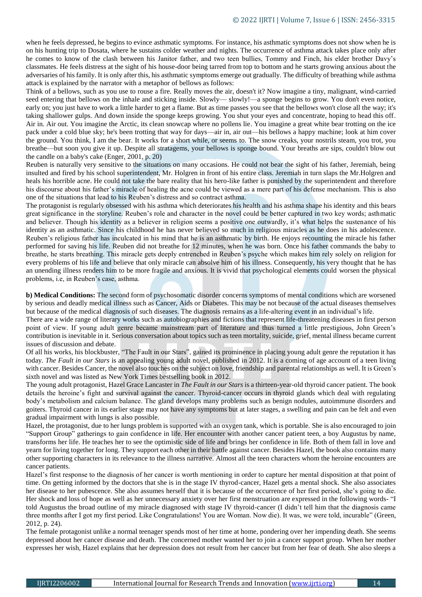when he feels depressed, he begins to evince asthmatic symptoms. For instance, his asthmatic symptoms does not show when he is on his hunting trip to Dosata, where he sustains colder weather and nights. The occurrence of asthma attack takes place only after he comes to know of the clash between his Janitor father, and two teen bullies, Tommy and Finch, his elder brother Davy's classmates. He feels distress at the sight of his house-door being tarred from top to bottom and he starts growing anxious about the adversaries of his family. It is only after this, his asthmatic symptoms emerge out gradually. The difficulty of breathing while asthma attack is explained by the narrator with a metaphor of bellows as follows:

Think of a bellows, such as you use to rouse a fire. Really moves the air, doesn't it? Now imagine a tiny, malignant, wind-carried seed entering that bellows on the inhale and sticking inside. Slowly—slowly!—a sponge begins to grow. You don't even notice, early on; you just have to work a little harder to get a flame. But as time passes you see that the bellows won't close all the way; it's taking shallower gulps. And down inside the sponge keeps growing. You shut your eyes and concentrate, hoping to head this off. Air in. Air out. You imagine the Arctic, its clean snowcap where no pollens lie. You imagine a great white bear trotting on the ice pack under a cold blue sky; he's been trotting that way for days—air in, air out—his bellows a happy machine; look at him cover the ground. You think, I am the bear. It works for a short while, or seems to. The snow creaks, your nostrils steam, you trot, you breathe—but soon you give it up. Despite all stratagems, your bellows is sponge bound. Your breaths are sips, couldn't blow out the candle on a baby's cake (Enger, 2001, p. 20)

Reuben is naturally very sensitive to the situations on many occasions. He could not bear the sight of his father, Jeremiah, being insulted and fired by his school superintendent, Mr. Holgren in front of his entire class. Jeremiah in turn slaps the Mr.Holgren and heals his horrible acne. He could not take the bare reality that his hero-like father is punished by the superintendent and therefore his discourse about his father's miracle of healing the acne could be viewed as a mere part of his defense mechanism. This is also one of the situations that lead to his Reuben's distress and so contract asthma.

The protagonist is regularly obsessed with his asthma which deteriorates his health and his asthma shape his identity and this bears great significance in the storyline. Reuben's role and character in the novel could be better captured in two key words; asthmatic and believer. Though his identity as a believer in religion seems a positive one outwardly, it's what helps the sustenance of his identity as an asthmatic. Since his childhood he has never believed so much in religious miracles as he does in his adolescence. Reuben's religious father has inculcated in his mind that he is an asthmatic by birth. He enjoys recounting the miracle his father performed for saving his life. Reuben did not breathe for 12 minutes, when he was born. Once his father commands the baby to breathe, he starts breathing. This miracle gets deeply entrenched in Reuben's psyche which makes him rely solely on religion for every problems of his life and believe that only miracle can absolve him of his illness. Consequently, his very thought that he has an unending illness renders him to be more fragile and anxious. It is vivid that psychological elements could worsen the physical problems, i.e, in Reuben's case, asthma.

**b) Medical Conditions:** The second form of psychosomatic disorder concerns symptoms of mental conditions which are worsened by serious and deadly medical illness such as Cancer, Aids or Diabetes. This may be not because of the actual diseases themselves but because of the medical diagnosis of such diseases. The diagnosis remains as a life-altering event in an individual's life.

There are a wide range of literary works such as autobiographies and fictions that represent life-threatening diseases in first person point of view. If young adult genre became mainstream part of literature and thus turned a little prestigious, John Green's contribution is inevitable in it. Serious conversation about topics such as teen mortality, suicide, grief, mental illness became current issues of discussion and debate.

Of all his works, his blockbuster, "The Fault in our Stars", gained its prominence in placing young adult genre the reputation it has today. *The Fault in our Stars* is an appealing young adult novel, published in 2012. It is a coming of age account of a teen living with cancer. Besides Cancer, the novel also touches on the subject on love, friendship and parental relationships as well. It is Green's sixth novel and was listed as New York Times bestselling book in 2012.

The young adult protagonist, Hazel Grace Lancaster in *The Fault in our Stars* is a thirteen-year-old thyroid cancer patient. The book details the heroine's fight and survival against the cancer. Thyroid-cancer occurs in thyroid glands which deal with regulating body's metabolism and calcium balance. The gland develops many problems such as benign nodules, autoimmune disorders and goiters. Thyroid cancer in its earlier stage may not have any symptoms but at later stages, a swelling and pain can be felt and even gradual impairment with lungs is also possible.

Hazel, the protagonist, due to her lungs problem is supported with an oxygen tank, which is portable. She is also encouraged to join "Support Group" gatherings to gain confidence in life. Her encounter with another cancer patient teen, a boy Augustus by name, transforms her life. He teaches her to see the optimistic side of life and brings her confidence in life. Both of them fall in love and yearn for living together for long. They support each other in their battle against cancer. Besides Hazel, the book also contains many other supporting characters in its relevance to the illness narrative. Almost all the teen characters whom the heroine encounters are cancer patients.

Hazel's first response to the diagnosis of her cancer is worth mentioning in order to capture her mental disposition at that point of time. On getting informed by the doctors that she is in the stage IV thyrod-cancer, Hazel gets a mental shock. She also associates her disease to her pubescence. She also assumes herself that it is because of the occurrence of her first period, she's going to die. Her shock and loss of hope as well as her unnecessary anxiety over her first menstruation are expressed in the following words- "I told Augustus the broad outline of my miracle diagnosed with stage IV thyroid-cancer (I didn't tell him that the diagnosis came three months after I got my first period. Like Congratulations! You are Woman. Now die). It was, we were told, incurable" (Green, 2012, p. 24).

The female protagonist unlike a normal teenager spends most of her time at home, pondering over her impending death. She seems depressed about her cancer disease and death. The concerned mother wanted her to join a cancer support group. When her mother expresses her wish, Hazel explains that her depression does not result from her cancer but from her fear of death. She also sleeps a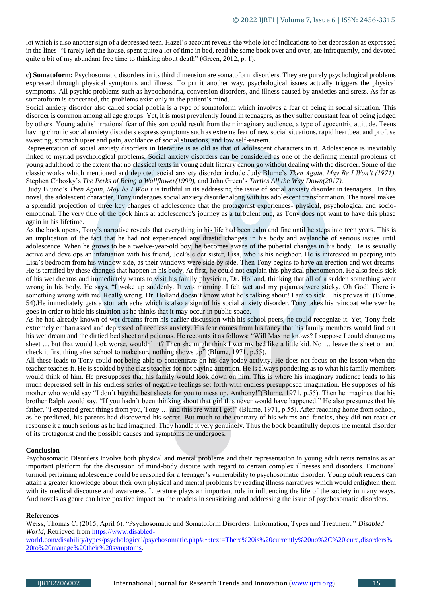lot which is also another sign of a depressed teen. Hazel's account reveals the whole lot of indications to her depression as expressed in the lines- "I rarely left the house, spent quite a lot of time in bed, read the same book over and over, ate infrequently, and devoted quite a bit of my abundant free time to thinking about death" (Green, 2012, p. 1).

**c) Somatoform:** Psychosomatic disorders in its third dimension are somatoform disorders. They are purely psychological problems expressed through physical symptoms and illness. To put it another way, psychological issues actually triggers the physical symptoms. All psychic problems such as hypochondria, conversion disorders, and illness caused by anxieties and stress. As far as somatoform is concerned, the problems exist only in the patient's mind.

Social anxiety disorder also called social phobia is a type of somatoform which involves a fear of being in social situation. This disorder is common among all age groups. Yet, it is most prevalently found in teenagers, as they suffer constant fear of being judged by others. Young adults' irrational fear of this sort could result from their imaginary audience, a type of egocentric attitude. Teens having chronic social anxiety disorders express symptoms such as extreme fear of new social situations, rapid heartbeat and profuse sweating, stomach upset and pain, avoidance of social situations, and low self-esteem.

Representation of social anxiety disorders in literature is as old as that of adolescent characters in it. Adolescence is inevitably linked to myriad psychological problems. Social anxiety disorders can be considered as one of the defining mental problems of young adulthood to the extent that no classical texts in young adult literary canon go without dealing with the disorder. Some of the classic works which mentioned and depicted social anxiety disorder include Judy Blume's *Then Again, May Be I Won't (1971)*, Stephen Chbosky's *The Perks of Being a Wallflower(1999),* and John Green's *Turtles All the Way Down(2017).*

Judy Blume's *Then Again*, *May be I Won't* is truthful in its addressing the issue of social anxiety disorder in teenagers. In this novel, the adolescent character, Tony undergoes social anxiety disorder along with his adolescent transformation. The novel makes a splendid projection of three key changes of adolescence that the protagonist experiences- physical, psychological and socioemotional. The very title of the book hints at adolescence's journey as a turbulent one, as Tony does not want to have this phase again in his lifetime.

As the book opens, Tony's narrative reveals that everything in his life had been calm and fine until he steps into teen years. This is an implication of the fact that he had not experienced any drastic changes in his body and avalanche of serious issues until adolescence. When he grows to be a twelve-year-old boy, he becomes aware of the pubertal changes in his body. He is sexually active and develops an infatuation with his friend, Joel's elder sister, Lisa, who is his neighbor. He is interested in peeping into Lisa's bedroom from his window side, as their windows were side by side. Then Tony begins to have an erection and wet dreams. He is terrified by these changes that happen in his body. At first, he could not explain this physical phenomenon. He also feels sick of his wet dreams and immediately wants to visit his family physician, Dr. Holland, thinking that all of a sudden something went wrong in his body. He says, "I woke up suddenly. It was morning. I felt wet and my pajamas were sticky. Oh God! There is something wrong with me. Really wrong. Dr. Holland doesn't know what he's talking about! I am so sick. This proves it" (Blume, 54).He immediately gets a stomach ache which is also a sign of his social anxiety disorder. Tony takes his raincoat wherever he goes in order to hide his situation as he thinks that it may occur in public space.

As he had already known of wet dreams from his earlier discussion with his school peers, he could recognize it. Yet, Tony feels extremely embarrassed and depressed of needless anxiety. His fear comes from his fancy that his family members would find out his wet dream and the dirtied bed sheet and pajamas. He recounts it as follows: "Will Maxine knows? I suppose I could change my sheet ... but that would look worse, wouldn't it? Then she might think I wet my bed like a little kid. No ... leave the sheet on and check it first thing after school to make sure nothing shows up" (Blume, 1971, p.55).

All these leads to Tony could not being able to concentrate on his day today activity. He does not focus on the lesson when the teacher teaches it. He is scolded by the class teacher for not paying attention. He is always pondering as to what his family members would think of him. He presupposes that his family would look down on him. This is where his imaginary audience leads to his much depressed self in his endless series of negative feelings set forth with endless presupposed imagination. He supposes of his mother who would say "I don't buy the best sheets for you to mess up, Anthony!"(Blume, 1971, p.55). Then he imagines that his brother Ralph would say, "If you hadn't been thinking about that girl this never would have happened." He also presumes that his father, "I expected great things from you, Tony ... and this are what I get!" (Blume, 1971, p.55). After reaching home from school, as he predicted, his parents had discovered his secret. But much to the contrary of his whims and fancies, they did not react or response it a much serious as he had imagined. They handle it very genuinely. Thus the book beautifully depicts the mental disorder of its protagonist and the possible causes and symptoms he undergoes.

### **Conclusion**

Psychosomatic Disorders involve both physical and mental problems and their representation in young adult texts remains as an important platform for the discussion of mind-body dispute with regard to certain complex illnesses and disorders. Emotional turmoil pertaining adolescence could be reasoned for a teenager's vulnerability to psychosomatic disorder. Young adult readers can attain a greater knowledge about their own physical and mental problems by reading illness narratives which would enlighten them with its medical discourse and awareness. Literature plays an important role in influencing the life of the society in many ways. And novels as genre can have positive impact on the readers in sensitizing and addressing the issue of psychosomatic disorders.

### **References**

Weiss, Thomas C. (2015, April 6). "Psychosomatic and Somatoform Disorders: Information, Types and Treatment." *Disabled World*, Retrieved from [https://www.disabled-](https://www.disabled-world.com/disability/types/psychological/psychosomatic.php#:~:text=There%20is%20currently%20no%2C%20)

[world.com/disability/types/psychological/psychosomatic.php#:~:text=There%20is%20currently%20no%2C%20'cure,disorders%](https://www.disabled-world.com/disability/types/psychological/psychosomatic.php#:~:text=There%20is%20currently%20no%2C%20) [20to%20manage%20their%20symptoms.](https://www.disabled-world.com/disability/types/psychological/psychosomatic.php#:~:text=There%20is%20currently%20no%2C%20)